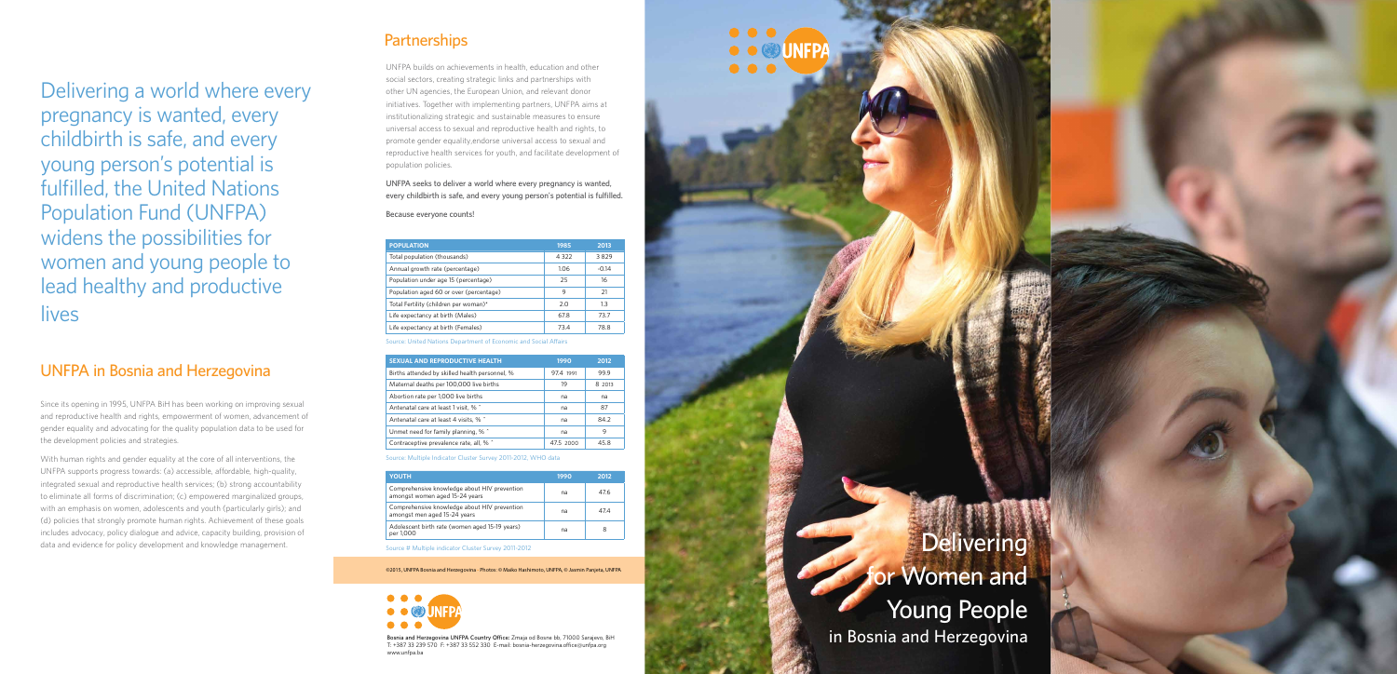## **Partnerships**

UNFPA builds on achievements in health, education and other social sectors, creating strategic links and partnerships with other UN agencies, the European Union, and relevant donor initiatives. Together with implementing partners, UNFPA aims at institutionalizing strategic and sustainable measures to ensure universal access to sexual and reproductive health and rights, to promote gender equality,endorse universal access to sexual and reproductive health services for youth, and facilitate development of population policies.

**UNFPA seeks to deliver a world where every pregnancy is wanted, every childbirth is safe, and every young person's potential is fulfilled.** 

**Because everyone counts!**

| <b>POPULATION</b>                       | 1985    | 2013    |
|-----------------------------------------|---------|---------|
| Total population (thousands)            | 4 3 2 2 | 3829    |
| Annual growth rate (percentage)         | 1.06    | $-0.14$ |
| Population under age 15 (percentage)    | 25      | 16      |
| Population aged 60 or over (percentage) | 9       | 21      |
| Total Fertility (children per woman)*   | 2.0     | 1.3     |
| Life expectancy at birth (Males)        | 67.8    | 737     |
| Life expectancy at birth (Females)      | 734     | 78.8    |

Source: United Nations Department of Economic and Social Affairs

| <b>SEXUAL AND REPRODUCTIVE HEALTH</b>          | 1990      | 2012   |
|------------------------------------------------|-----------|--------|
| Births attended by skilled health personnel, % | 974 1991  | 999    |
| Maternal deaths per 100,000 live births        | 19        | 8 2013 |
| Abortion rate per 1,000 live births            | na        | na     |
| Antenatal care at least 1 visit, % ^           | na        | 87     |
| Antenatal care at least 4 visits, % ^          | na        | 84.2   |
| Unmet need for family planning, % ^            | na        | 9      |
| Contraceptive prevalence rate, all, % ^        | 47.5 2000 | 45.8   |

With human rights and gender equality at the core of all interventions, the UNFPA supports progress towards: (a) accessible, affordable, high-quality, integrated sexual and reproductive health services; (b) strong accountability to eliminate all forms of discrimination; (c) empowered marginalized groups, with an emphasis on women, adolescents and youth (particularly girls); and (d) policies that strongly promote human rights. Achievement of these goals includes advocacy, policy dialogue and advice, capacity building, provision of data and evidence for policy development and knowledge management.

Source: Multiple Indicator Cluster Survey 2011-2012, WHO data

| <b>YOUTH</b>                                                                   | 1990 | 2012 |
|--------------------------------------------------------------------------------|------|------|
| Comprehensive knowledge about HIV prevention<br>amongst women aged 15-24 years | na   | 476  |
| Comprehensive knowledge about HIV prevention<br>amongst men aged 15-24 years   | na   | 47 A |
| Adolescent birth rate (women aged 15-19 years)<br>per 1.000                    | na   | 8    |

Source # Multiple indicator Cluster Survey 2011-2012

**Bosnia and Herzegovina UNFPA Country Office:** Zmaja od Bosne bb, 71000 Sarajevo, BiH T: +387 33 239 570 F: +387 33 552 330 E-mail: bosnia-herzegovina.office@unfpa.org www.unfpa.ba

Delivering a world where every pregnancy is wanted, every childbirth is safe, and every young person's potential is fulfilled, the United Nations Population Fund (UNFPA) widens the possibilities for women and young people to lead healthy and productive lives

### **UNFPA in Bosnia and Herzegovina**

Since its opening in 1995, UNFPA BiH has been working on improving sexual and reproductive health and rights, empowerment of women, advancement of gender equality and advocating for the quality population data to be used for the development policies and strategies.

> **for Women and Young People in Bosnia and Herzegovina**

©2015, UNFPA Bosnia and Herzegovina • Photos: © Maiko Hashimoto, UNFPA, © Jasmin Panjeta, UNFPA